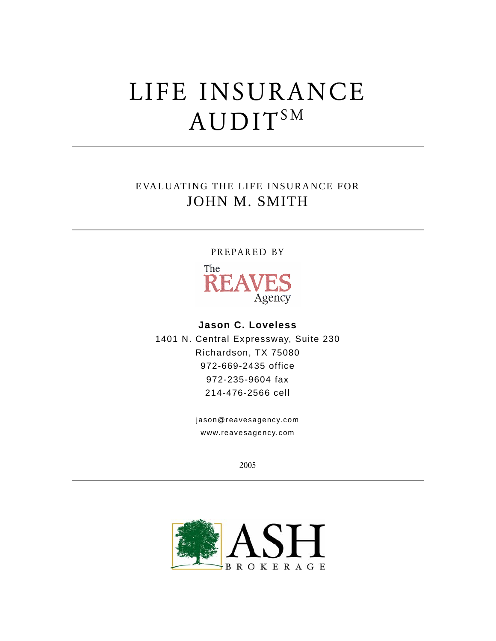# LIFE INSURANCE AUDIT<sup>SM</sup>

# EVALUATING THE LIFE INSURANCE FOR JOHN M. SMITH

#### PREPARED BY



### **Jason C. Loveless**

1401 N. Central Expressway, Suite 230 Richardson, TX 75080 972-669-2435 office 972-235-9604 fax 214-476-2566 cell

> jason@reavesagency.com www.reavesagency.com

> > 2005

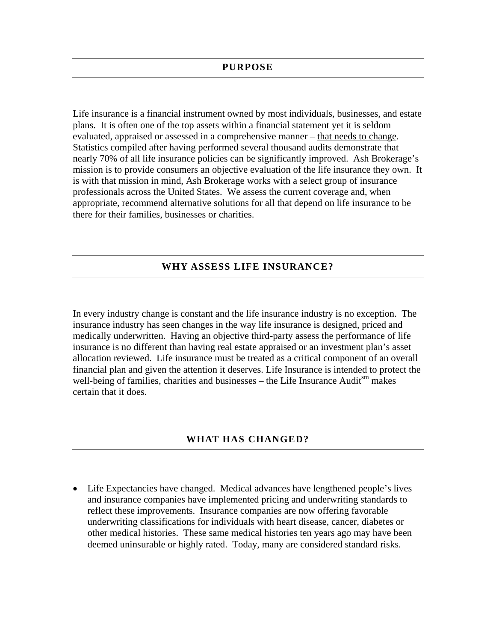Life insurance is a financial instrument owned by most individuals, businesses, and estate plans. It is often one of the top assets within a financial statement yet it is seldom evaluated, appraised or assessed in a comprehensive manner – that needs to change. Statistics compiled after having performed several thousand audits demonstrate that nearly 70% of all life insurance policies can be significantly improved. Ash Brokerage's mission is to provide consumers an objective evaluation of the life insurance they own. It is with that mission in mind, Ash Brokerage works with a select group of insurance professionals across the United States. We assess the current coverage and, when appropriate, recommend alternative solutions for all that depend on life insurance to be there for their families, businesses or charities.

#### **WHY ASSESS LIFE INSURANCE?**

In every industry change is constant and the life insurance industry is no exception. The insurance industry has seen changes in the way life insurance is designed, priced and medically underwritten. Having an objective third-party assess the performance of life insurance is no different than having real estate appraised or an investment plan's asset allocation reviewed. Life insurance must be treated as a critical component of an overall financial plan and given the attention it deserves. Life Insurance is intended to protect the well-being of families, charities and businesses – the Life Insurance Audit $\sin$  makes certain that it does.

#### **WHAT HAS CHANGED?**

• Life Expectancies have changed. Medical advances have lengthened people's lives and insurance companies have implemented pricing and underwriting standards to reflect these improvements. Insurance companies are now offering favorable underwriting classifications for individuals with heart disease, cancer, diabetes or other medical histories. These same medical histories ten years ago may have been deemed uninsurable or highly rated. Today, many are considered standard risks.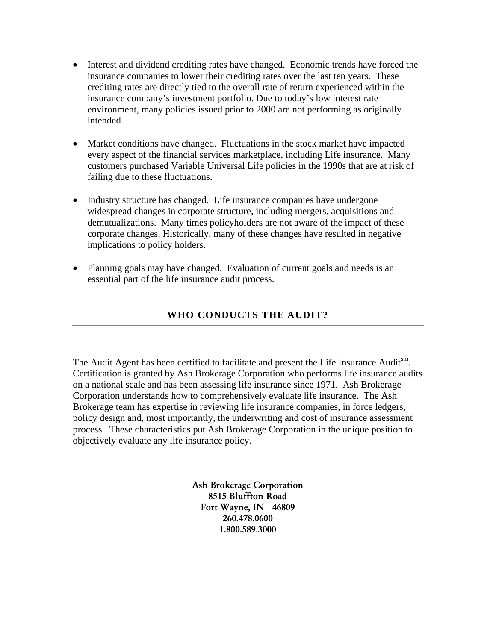- Interest and dividend crediting rates have changed. Economic trends have forced the insurance companies to lower their crediting rates over the last ten years. These crediting rates are directly tied to the overall rate of return experienced within the insurance company's investment portfolio. Due to today's low interest rate environment, many policies issued prior to 2000 are not performing as originally intended.
- Market conditions have changed. Fluctuations in the stock market have impacted every aspect of the financial services marketplace, including Life insurance. Many customers purchased Variable Universal Life policies in the 1990s that are at risk of failing due to these fluctuations.
- Industry structure has changed. Life insurance companies have undergone widespread changes in corporate structure, including mergers, acquisitions and demutualizations. Many times policyholders are not aware of the impact of these corporate changes. Historically, many of these changes have resulted in negative implications to policy holders.
- Planning goals may have changed. Evaluation of current goals and needs is an essential part of the life insurance audit process.

# **WHO CONDUCTS THE AUDIT?**

The Audit Agent has been certified to facilitate and present the Life Insurance Auditsm. Certification is granted by Ash Brokerage Corporation who performs life insurance audits on a national scale and has been assessing life insurance since 1971. Ash Brokerage Corporation understands how to comprehensively evaluate life insurance. The Ash Brokerage team has expertise in reviewing life insurance companies, in force ledgers, policy design and, most importantly, the underwriting and cost of insurance assessment process. These characteristics put Ash Brokerage Corporation in the unique position to objectively evaluate any life insurance policy.

> Ash Brokerage Corporation 8515 Bluffton Road Fort Wayne, IN 46809 260.478.0600 1.800.589.3000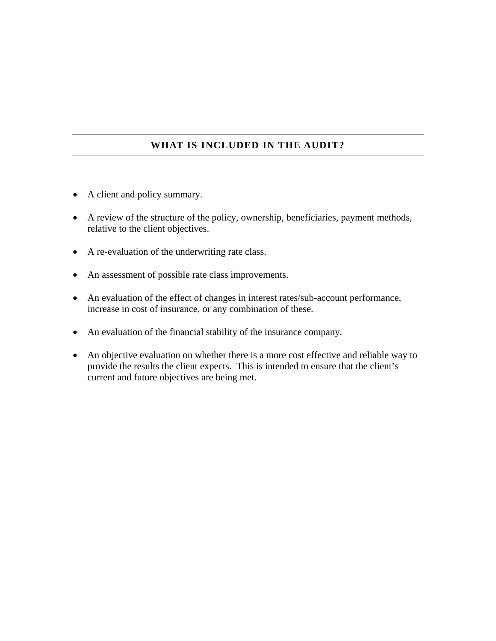# **WHAT IS INCLUDED IN THE AUDIT?**

- A client and policy summary.
- A review of the structure of the policy, ownership, beneficiaries, payment methods, relative to the client objectives.
- A re-evaluation of the underwriting rate class.
- An assessment of possible rate class improvements.
- An evaluation of the effect of changes in interest rates/sub-account performance, increase in cost of insurance, or any combination of these.
- An evaluation of the financial stability of the insurance company.
- An objective evaluation on whether there is a more cost effective and reliable way to provide the results the client expects. This is intended to ensure that the client's current and future objectives are being met.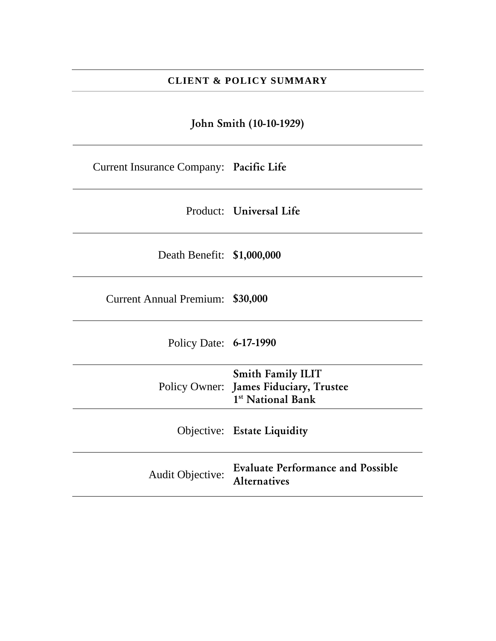### **CLIENT & POLICY SUMMARY**

John Smith (10-10-1929)

Current Insurance Company: Pacific Life

Product: Universal Life

Death Benefit: \$1,000,000

Current Annual Premium: \$30,000

Policy Date: 6-17-1990

|                         | <b>Smith Family ILIT</b><br>Policy Owner: James Fiduciary, Trustee<br>1 <sup>st</sup> National Bank |
|-------------------------|-----------------------------------------------------------------------------------------------------|
|                         | <b>Objective:</b> Estate Liquidity                                                                  |
| <b>Audit Objective:</b> | <b>Evaluate Performance and Possible</b><br><b>Alternatives</b>                                     |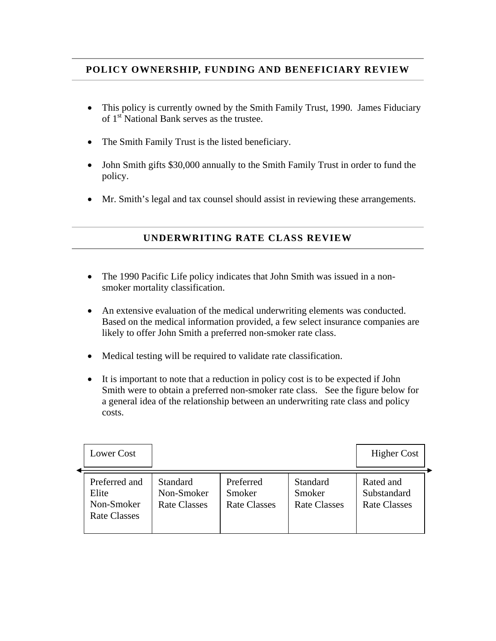## **POLICY OWNERSHIP, FUNDING AND BENEFICIARY REVIEW**

- This policy is currently owned by the Smith Family Trust, 1990. James Fiduciary of 1<sup>st</sup> National Bank serves as the trustee.
- The Smith Family Trust is the listed beneficiary.
- John Smith gifts \$30,000 annually to the Smith Family Trust in order to fund the policy.
- Mr. Smith's legal and tax counsel should assist in reviewing these arrangements.

## **UNDERWRITING RATE CLASS REVIEW**

- The 1990 Pacific Life policy indicates that John Smith was issued in a nonsmoker mortality classification.
- An extensive evaluation of the medical underwriting elements was conducted. Based on the medical information provided, a few select insurance companies are likely to offer John Smith a preferred non-smoker rate class.
- Medical testing will be required to validate rate classification.
- It is important to note that a reduction in policy cost is to be expected if John Smith were to obtain a preferred non-smoker rate class. See the figure below for a general idea of the relationship between an underwriting rate class and policy costs.

| Lower Cost                                                  |                                               |                                            |                                           | <b>Higher Cost</b>                              |
|-------------------------------------------------------------|-----------------------------------------------|--------------------------------------------|-------------------------------------------|-------------------------------------------------|
| Preferred and<br>Elite<br>Non-Smoker<br><b>Rate Classes</b> | Standard<br>Non-Smoker<br><b>Rate Classes</b> | Preferred<br>Smoker<br><b>Rate Classes</b> | <b>Standard</b><br>Smoker<br>Rate Classes | Rated and<br>Substandard<br><b>Rate Classes</b> |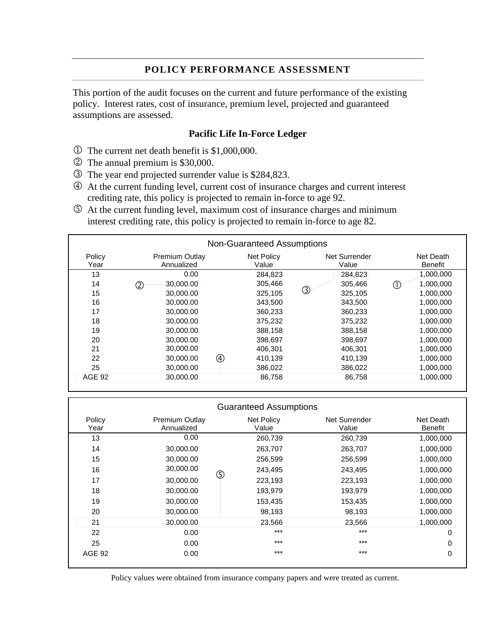#### **POLICY PERFORMANCE ASSESSMENT**

This portion of the audit focuses on the current and future performance of the existing policy. Interest rates, cost of insurance, premium level, projected and guaranteed assumptions are assessed.

#### **Pacific Life In-Force Ledger**

- $\Phi$  The current net death benefit is \$1,000,000.
- 2 The annual premium is \$30,000.
- 3 The year end projected surrender value is \$284,823.
- 4 At the current funding level, current cost of insurance charges and current interest crediting rate, this policy is projected to remain in-force to age 92.
- 5 At the current funding level, maximum cost of insurance charges and minimum interest crediting rate, this policy is projected to remain in-force to age 82.

| <b>Non-Guaranteed Assumptions</b> |                                     |   |                     |                        |                      |  |
|-----------------------------------|-------------------------------------|---|---------------------|------------------------|----------------------|--|
| Policy<br>Year                    | <b>Premium Outlay</b><br>Annualized |   | Net Policy<br>Value | Net Surrender<br>Value | Net Death<br>Benefit |  |
| 13                                | 0.00                                |   | 284.823             | 284,823                | 1,000,000            |  |
| 14                                | 30,000.00<br>2                      |   | 305,466             | 305,466                | 1,000,000            |  |
| 15                                | 30,000.00                           |   | 325,105             | ③<br>325,105           | 1,000,000            |  |
| 16                                | 30,000,00                           |   | 343,500             | 343,500                | 1,000,000            |  |
| 17                                | 30,000,00                           |   | 360.233             | 360.233                | 1,000,000            |  |
| 18                                | 30,000.00                           |   | 375,232             | 375,232                | 1,000,000            |  |
| 19                                | 30,000,00                           |   | 388,158             | 388,158                | 1,000,000            |  |
| 20                                | 30,000,00                           |   | 398,697             | 398,697                | 1,000,000            |  |
| 21                                | 30,000,00                           |   | 406.301             | 406,301                | 1,000,000            |  |
| 22                                | 30,000.00                           | 4 | 410,139             | 410,139                | 1,000,000            |  |
| 25                                | 30,000.00                           |   | 386,022             | 386,022                | 1,000,000            |  |
| <b>AGE 92</b>                     | 30,000.00                           |   | 86,758              | 86,758                 | 1,000,000            |  |
|                                   |                                     |   |                     |                        |                      |  |

|                |                                     |   | <b>Guaranteed Assumptions</b> |                        |                             |
|----------------|-------------------------------------|---|-------------------------------|------------------------|-----------------------------|
| Policy<br>Year | <b>Premium Outlay</b><br>Annualized |   | Net Policy<br>Value           | Net Surrender<br>Value | Net Death<br><b>Benefit</b> |
| 13             | 0.00                                |   | 260,739                       | 260,739                | 1,000,000                   |
| 14             | 30,000.00                           |   | 263,707                       | 263,707                | 1,000,000                   |
| 15             | 30,000.00                           |   | 256,599                       | 256,599                | 1,000,000                   |
| 16             | 30,000.00                           |   | 243,495                       | 243,495                | 1,000,000                   |
| 17             | 30,000.00                           | ⑤ | 223,193                       | 223,193                | 1,000,000                   |
| 18             | 30,000.00                           |   | 193,979                       | 193,979                | 1,000,000                   |
| 19             | 30,000.00                           |   | 153,435                       | 153,435                | 1,000,000                   |
| 20             | 30,000.00                           |   | 98,193                        | 98,193                 | 1,000,000                   |
| 21             | 30,000.00                           |   | 23,566                        | 23,566                 | 1,000,000                   |
| 22             | 0.00                                |   | $***$                         | $***$                  | 0                           |
| 25             | 0.00                                |   | $***$                         | $***$                  | 0                           |
| <b>AGE 92</b>  | 0.00                                |   | $***$                         | $***$                  | 0                           |

Policy values were obtained from insurance company papers and were treated as current.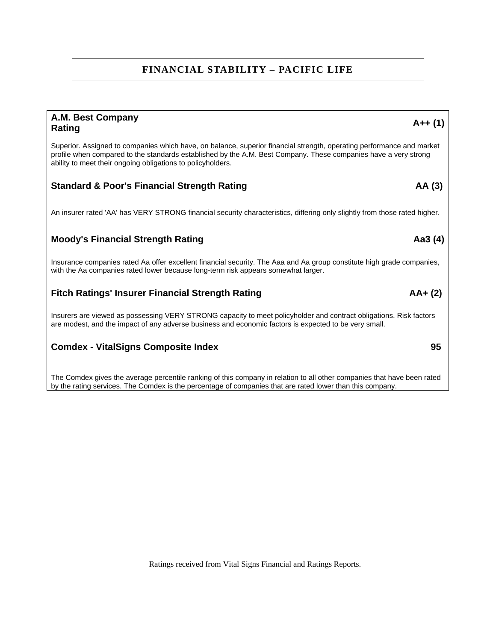# **FINANCIAL STABILITY – PACIFIC LIFE**

# **A.M. Best Company Rating A++ (1)**  Superior. Assigned to companies which have, on balance, superior financial strength, operating performance and market profile when compared to the standards established by the A.M. Best Company. These companies have a very strong ability to meet their ongoing obligations to policyholders. **Standard & Poor's Financial Strength Rating The Contract Contract Contract Contract Contract Contract Contract Contract Contract Contract Contract Contract Contract Contract Contract Contract Contract Contract Contract Co** An insurer rated 'AA' has VERY STRONG financial security characteristics, differing only slightly from those rated higher. **Moody's Financial Strength Rating Aa3 (4) Aa3 (4) Aa3 (4) Aa3 (4) Aa3 (4) Aa3 (4) Aa3 (4) Aa3 (4) Aa3 (4) Aa3 (4) Aa3 (4) Aa3 (4) Aa3 (4) Aa3 (4) Aa3 (4) Aa3 (4) Aa3 (4) Aa3 (4) Aa3 (4)** Insurance companies rated Aa offer excellent financial security. The Aaa and Aa group constitute high grade companies, with the Aa companies rated lower because long-term risk appears somewhat larger. Fitch Ratings' Insurer Financial Strength Rating **AA+** (2) **AA+** (2) Insurers are viewed as possessing VERY STRONG capacity to meet policyholder and contract obligations. Risk factors are modest, and the impact of any adverse business and economic factors is expected to be very small. **Comdex - VitalSigns Composite Index**  85 The Comdex gives the average percentile ranking of this company in relation to all other companies that have been rated by the rating services. The Comdex is the percentage of companies that are rated lower than this company.

Ratings received from Vital Signs Financial and Ratings Reports.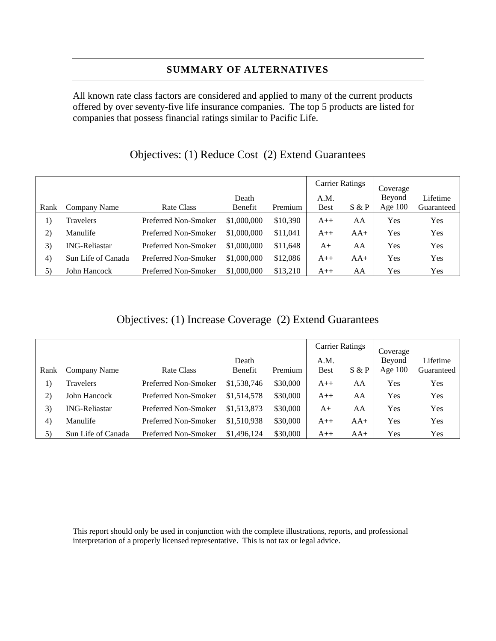## **SUMMARY OF ALTERNATIVES**

All known rate class factors are considered and applied to many of the current products offered by over seventy-five life insurance companies. The top 5 products are listed for companies that possess financial ratings similar to Pacific Life.

|      |                      |                      |             |          | <b>Carrier Ratings</b> |       | Coverage  |            |
|------|----------------------|----------------------|-------------|----------|------------------------|-------|-----------|------------|
|      |                      |                      | Death       |          | A.M.                   |       | Beyond    | Lifetime   |
| Rank | Company Name         | Rate Class           | Benefit     | Premium  | <b>Best</b>            | S & P | Age $100$ | Guaranteed |
| 1)   | Travelers            | Preferred Non-Smoker | \$1,000,000 | \$10,390 | $A++$                  | AA    | Yes       | Yes        |
| 2)   | Manulife             | Preferred Non-Smoker | \$1,000,000 | \$11,041 | $A++$                  | $AA+$ | Yes       | Yes        |
| 3)   | <b>ING-Reliastar</b> | Preferred Non-Smoker | \$1,000,000 | \$11,648 | $A+$                   | AA    | Yes       | Yes        |
| 4)   | Sun Life of Canada   | Preferred Non-Smoker | \$1,000,000 | \$12,086 | $A++$                  | $AA+$ | Yes       | Yes        |
| 5)   | John Hancock         | Preferred Non-Smoker | \$1,000,000 | \$13,210 | $A++$                  | AA    | Yes       | Yes        |

# Objectives: (1) Reduce Cost (2) Extend Guarantees

# Objectives: (1) Increase Coverage (2) Extend Guarantees

|      |                      |                      |             |          | <b>Carrier Ratings</b> |       | Coverage  |            |
|------|----------------------|----------------------|-------------|----------|------------------------|-------|-----------|------------|
|      |                      |                      | Death       |          | A.M.                   |       | Beyond    | Lifetime   |
| Rank | Company Name         | Rate Class           | Benefit     | Premium  | <b>Best</b>            | S & P | Age $100$ | Guaranteed |
| 1)   | Travelers            | Preferred Non-Smoker | \$1,538,746 | \$30,000 | $A++$                  | AA    | Yes       | Yes        |
| 2)   | John Hancock         | Preferred Non-Smoker | \$1,514,578 | \$30,000 | $A++$                  | AA    | Yes       | Yes        |
| 3)   | <b>ING-Reliastar</b> | Preferred Non-Smoker | \$1,513,873 | \$30,000 | $A+$                   | AA    | Yes       | Yes        |
| 4)   | Manulife             | Preferred Non-Smoker | \$1,510,938 | \$30,000 | $A++$                  | $AA+$ | Yes       | Yes        |
| 5)   | Sun Life of Canada   | Preferred Non-Smoker | \$1,496,124 | \$30,000 | $A++$                  | $AA+$ | Yes       | Yes        |

This report should only be used in conjunction with the complete illustrations, reports, and professional interpretation of a properly licensed representative. This is not tax or legal advice.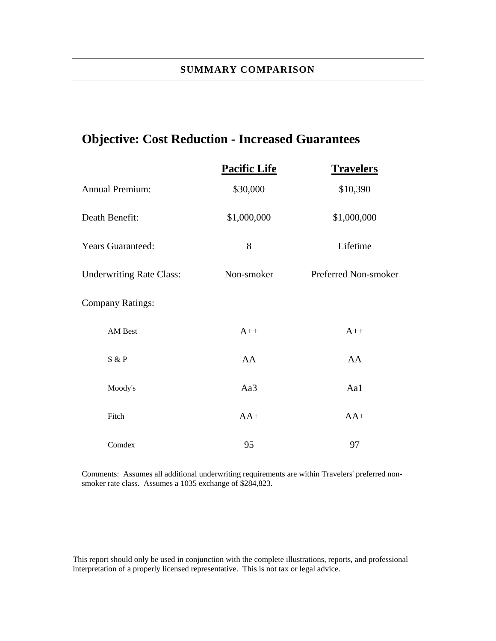# **Objective: Cost Reduction - Increased Guarantees**

|                                 | <b>Pacific Life</b> | <b>Travelers</b>     |
|---------------------------------|---------------------|----------------------|
| <b>Annual Premium:</b>          | \$30,000            | \$10,390             |
| Death Benefit:                  | \$1,000,000         | \$1,000,000          |
| <b>Years Guaranteed:</b>        | 8                   | Lifetime             |
| <b>Underwriting Rate Class:</b> | Non-smoker          | Preferred Non-smoker |
| <b>Company Ratings:</b>         |                     |                      |
| AM Best                         | $A++$               | $A++$                |
| S & P                           | AA                  | AA                   |
| Moody's                         | Aa3                 | Aa1                  |
| Fitch                           | $AA+$               | $AA+$                |
| Comdex                          | 95                  | 97                   |

Comments: Assumes all additional underwriting requirements are within Travelers' preferred nonsmoker rate class. Assumes a 1035 exchange of \$284,823.

This report should only be used in conjunction with the complete illustrations, reports, and professional interpretation of a properly licensed representative. This is not tax or legal advice.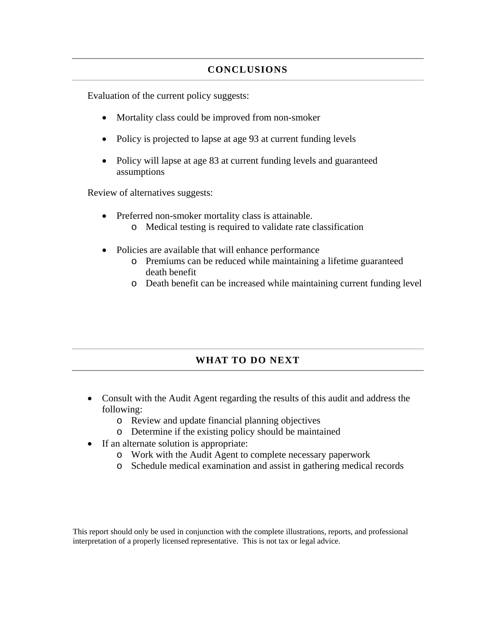#### **CONCLUSIONS**

Evaluation of the current policy suggests:

- Mortality class could be improved from non-smoker
- Policy is projected to lapse at age 93 at current funding levels
- Policy will lapse at age 83 at current funding levels and guaranteed assumptions

Review of alternatives suggests:

- Preferred non-smoker mortality class is attainable.
	- o Medical testing is required to validate rate classification
- Policies are available that will enhance performance
	- o Premiums can be reduced while maintaining a lifetime guaranteed death benefit
	- o Death benefit can be increased while maintaining current funding level

# **WHAT TO DO NEXT**

- Consult with the Audit Agent regarding the results of this audit and address the following:
	- o Review and update financial planning objectives
	- o Determine if the existing policy should be maintained
- If an alternate solution is appropriate:
	- o Work with the Audit Agent to complete necessary paperwork
	- o Schedule medical examination and assist in gathering medical records

This report should only be used in conjunction with the complete illustrations, reports, and professional interpretation of a properly licensed representative. This is not tax or legal advice.